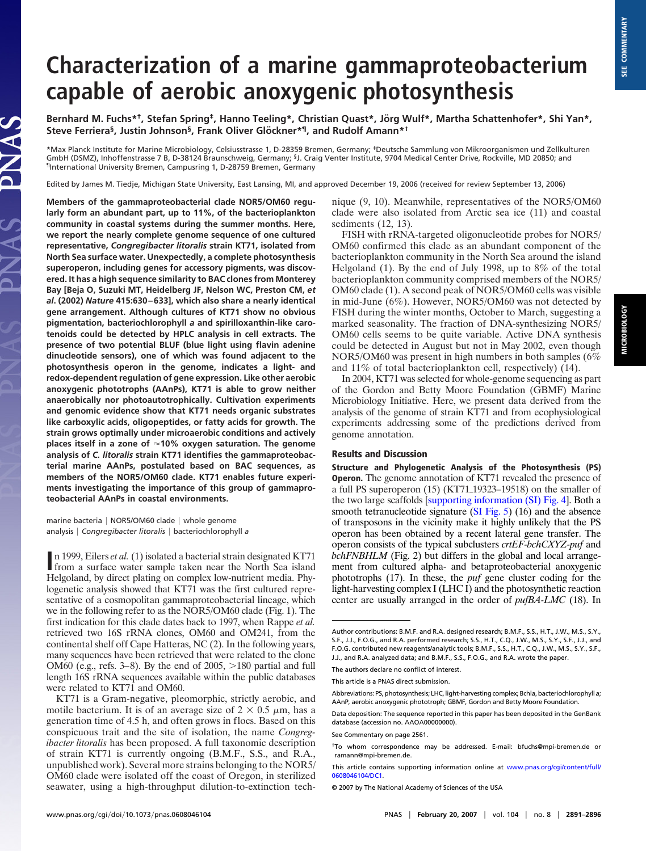## **Characterization of a marine gammaproteobacterium capable of aerobic anoxygenic photosynthesis**

Bernhard M. Fuchs\*<sup>†</sup>, Stefan Spring<sup>‡</sup>, Hanno Teeling\*, Christian Quast\*, Jörg Wulf\*, Martha Schattenhofer\*, Shi Yan\*, Steve Ferriera<sup>§</sup>, Justin Johnson<sup>§</sup>, Frank Oliver Glöckner\*<sup>1</sup>, and Rudolf Amann\*<sup>†</sup>

\*Max Planck Institute for Marine Microbiology, Celsiusstrasse 1, D-28359 Bremen, Germany; ‡Deutsche Sammlung von Mikroorganismen und Zellkulturen GmbH (DSMZ), Inhoffenstrasse 7 B, D-38124 Braunschweig, Germany; <sup>§</sup>J. Craig Venter Institute, 9704 Medical Center Drive, Rockville, MD 20850; and ¶International University Bremen, Campusring 1, D-28759 Bremen, Germany

Edited by James M. Tiedje, Michigan State University, East Lansing, MI, and approved December 19, 2006 (received for review September 13, 2006)

**Members of the gammaproteobacterial clade NOR5/OM60 regularly form an abundant part, up to 11%, of the bacterioplankton community in coastal systems during the summer months. Here, we report the nearly complete genome sequence of one cultured representative,** *Congregibacter litoralis* **strain KT71, isolated from North Sea surface water. Unexpectedly, a complete photosynthesis superoperon, including genes for accessory pigments, was discovered. It has a high sequence similarity to BAC clones from Monterey Bay [Beja O, Suzuki MT, Heidelberg JF, Nelson WC, Preston CM,** *et al***. (2002)** *Nature* **415:630–633], which also share a nearly identical gene arrangement. Although cultures of KT71 show no obvious pigmentation, bacteriochlorophyll** *a* **and spirilloxanthin-like carotenoids could be detected by HPLC analysis in cell extracts. The presence of two potential BLUF (blue light using flavin adenine dinucleotide sensors), one of which was found adjacent to the photosynthesis operon in the genome, indicates a light- and redox-dependent regulation of gene expression. Like other aerobic anoxygenic phototrophs (AAnPs), KT71 is able to grow neither anaerobically nor photoautotrophically. Cultivation experiments and genomic evidence show that KT71 needs organic substrates like carboxylic acids, oligopeptides, or fatty acids for growth. The strain grows optimally under microaerobic conditions and actively places itself in a zone of 10% oxygen saturation. The genome analysis of** *C. litoralis* **strain KT71 identifies the gammaproteobacterial marine AAnPs, postulated based on BAC sequences, as members of the NOR5/OM60 clade. KT71 enables future experiments investigating the importance of this group of gammaproteobacterial AAnPs in coastal environments.**

LAS

marine bacteria | NOR5/OM60 clade | whole genome analysis *Congregibacter litoralis* bacteriochlorophyll *a*

In 1999, Eilers *et al.* (1) isolated a bacterial strain designated KT71 from a surface water sample taken near the North Sea island from a surface water sample taken near the North Sea island Helgoland, by direct plating on complex low-nutrient media. Phylogenetic analysis showed that KT71 was the first cultured representative of a cosmopolitan gammaproteobacterial lineage, which we in the following refer to as the NOR5/OM60 clade (Fig. 1). The first indication for this clade dates back to 1997, when Rappe *et al.* retrieved two 16S rRNA clones, OM60 and OM241, from the continental shelf off Cape Hatteras, NC (2). In the following years, many sequences have been retrieved that were related to the clone OM60 (e.g., refs.  $3-8$ ). By the end of 2005,  $>180$  partial and full length 16S rRNA sequences available within the public databases were related to KT71 and OM60.

KT71 is a Gram-negative, pleomorphic, strictly aerobic, and motile bacterium. It is of an average size of  $2 \times 0.5 \mu$ m, has a generation time of 4.5 h, and often grows in flocs. Based on this conspicuous trait and the site of isolation, the name *Congregibacter litoralis* has been proposed. A full taxonomic description of strain KT71 is currently ongoing (B.M.F., S.S., and R.A., unpublished work). Several more strains belonging to the NOR5/ OM60 clade were isolated off the coast of Oregon, in sterilized seawater, using a high-throughput dilution-to-extinction technique (9, 10). Meanwhile, representatives of the NOR5/OM60 clade were also isolated from Arctic sea ice (11) and coastal sediments (12, 13).

FISH with rRNA-targeted oligonucleotide probes for NOR5/ OM60 confirmed this clade as an abundant component of the bacterioplankton community in the North Sea around the island Helgoland (1). By the end of July 1998, up to 8% of the total bacterioplankton community comprised members of the NOR5/ OM60 clade (1). A second peak of NOR5/OM60 cells was visible in mid-June (6%). However, NOR5/OM60 was not detected by FISH during the winter months, October to March, suggesting a marked seasonality. The fraction of DNA-synthesizing NOR5/ OM60 cells seems to be quite variable. Active DNA synthesis could be detected in August but not in May 2002, even though NOR5/OM60 was present in high numbers in both samples (6% and 11% of total bacterioplankton cell, respectively) (14).

In 2004, KT71 was selected for whole-genome sequencing as part of the Gordon and Betty Moore Foundation (GBMF) Marine Microbiology Initiative. Here, we present data derived from the analysis of the genome of strain KT71 and from ecophysiological experiments addressing some of the predictions derived from genome annotation.

## **Results and Discussion**

**Structure and Phylogenetic Analysis of the Photosynthesis (PS) Operon.** The genome annotation of KT71 revealed the presence of a full PS superoperon  $(15)$  (KT71<sub>-19323</sub>-19518) on the smaller of the two large scaffolds [\[supporting information \(SI\) Fig. 4\]](http://www.pnas.org/cgi/content/full/0608046104/DC1). Both a smooth tetranucleotide signature [\(SI Fig. 5\)](http://www.pnas.org/cgi/content/full/0608046104/DC1) (16) and the absence of transposons in the vicinity make it highly unlikely that the PS operon has been obtained by a recent lateral gene transfer. The operon consists of the typical subclusters *crtEF-bchCXYZ-puf* and *bchFNBHLM* (Fig. 2) but differs in the global and local arrangement from cultured alpha- and betaproteobacterial anoxygenic phototrophs (17). In these, the *puf* gene cluster coding for the light-harvesting complex I (LHC I) and the photosynthetic reaction center are usually arranged in the order of *pufBA-LMC* (18). In

Author contributions: B.M.F. and R.A. designed research; B.M.F., S.S., H.T., J.W., M.S., S.Y., S.F., J.J., F.O.G., and R.A. performed research; S.S., H.T., C.Q., J.W., M.S., S.Y., S.F., J.J., and F.O.G. contributed new reagents/analytic tools; B.M.F., S.S., H.T., C.Q., J.W., M.S., S.Y., S.F., J.J., and R.A. analyzed data; and B.M.F., S.S., F.O.G., and R.A. wrote the paper.

The authors declare no conflict of interest.

This article is a PNAS direct submission.

Abbreviations:PS,photosynthesis;LHC,light-harvestingcomplex;Bchl*a*,bacteriochlorophyll*a*; AAnP, aerobic anoxygenic phototroph; GBMF, Gordon and Betty Moore Foundation.

Data deposition: The sequence reported in this paper has been deposited in the GenBank database (accession no. AAOA00000000).

See Commentary on page 2561.

<sup>†</sup>To whom correspondence may be addressed. E-mail: bfuchs@mpi-bremen.de or ramann@mpi-bremen.de.

This article contains supporting information online at [www.pnas.org/cgi/content/full/](http://www.pnas.org/cgi/content/full/0608046104/DC1) [0608046104/DC1.](http://www.pnas.org/cgi/content/full/0608046104/DC1)

<sup>© 2007</sup> by The National Academy of Sciences of the USA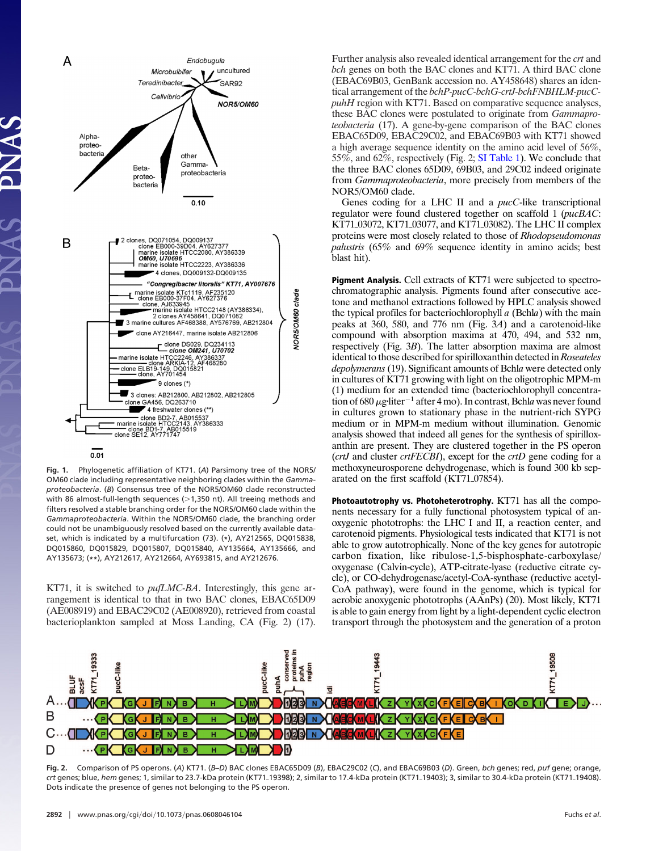

**Fig. 1.** Phylogenetic affiliation of KT71. (*A*) Parsimony tree of the NOR5/ OM60 clade including representative neighboring clades within the *Gammaproteobacteria*. (*B*) Consensus tree of the NOR5/OM60 clade reconstructed with 86 almost-full-length sequences (>1,350 nt). All treeing methods and filters resolved a stable branching order for the NOR5/OM60 clade within the *Gammaproteobacteria*. Within the NOR5/OM60 clade, the branching order could not be unambiguously resolved based on the currently available dataset, which is indicated by a multifurcation (73). (**\***), AY212565, DQ015838, DQ015860, DQ015829, DQ015807, DQ015840, AY135664, AY135666, and AY135673; (**\*\***), AY212617, AY212664, AY693815, and AY212676.

KT71, it is switched to *pufLMC-BA*. Interestingly, this gene arrangement is identical to that in two BAC clones, EBAC65D09 (AE008919) and EBAC29C02 (AE008920), retrieved from coastal bacterioplankton sampled at Moss Landing, CA (Fig. 2) (17). Further analysis also revealed identical arrangement for the *crt* and *bch* genes on both the BAC clones and KT71. A third BAC clone (EBAC69B03, GenBank accession no. AY458648) shares an identical arrangement of the *bchP-pucC-bchG-crtJ-bchFNBHLM-pucCpuhH* region with KT71. Based on comparative sequence analyses, these BAC clones were postulated to originate from *Gammaproteobacteria* (17). A gene-by-gene comparison of the BAC clones EBAC65D09, EBAC29C02, and EBAC69B03 with KT71 showed a high average sequence identity on the amino acid level of 56%, 55%, and 62%, respectively (Fig. 2; [SI Table 1\)](http://www.pnas.org/cgi/content/full/0608046104/DC1). We conclude that the three BAC clones 65D09, 69B03, and 29C02 indeed originate from *Gammaproteobacteria*, more precisely from members of the NOR5/OM60 clade.

Genes coding for a LHC II and a *pucC*-like transcriptional regulator were found clustered together on scaffold 1 (*pucBAC*: KT71<sub>03072</sub>, KT71<sub>03077</sub>, and KT71<sub>03082</sub>). The LHC II complex proteins were most closely related to those of *Rhodopseudomonas palustris* (65% and 69% sequence identity in amino acids; best blast hit).

**Pigment Analysis.** Cell extracts of KT71 were subjected to spectrochromatographic analysis. Pigments found after consecutive acetone and methanol extractions followed by HPLC analysis showed the typical profiles for bacteriochlorophyll *a* (Bchl*a*) with the main peaks at 360, 580, and 776 nm (Fig. 3*A*) and a carotenoid-like compound with absorption maxima at 470, 494, and 532 nm, respectively (Fig. 3*B*). The latter absorption maxima are almost identical to those described for spirilloxanthin detected in*Roseateles depolymerans*(19). Significant amounts of Bchl*a* were detected only in cultures of KT71 growing with light on the oligotrophic MPM-m (1) medium for an extended time (bacteriochlorophyll concentration of 680  $\mu$ g-liter<sup>-1</sup> after 4 mo). In contrast, Bchla was never found in cultures grown to stationary phase in the nutrient-rich SYPG medium or in MPM-m medium without illumination. Genomic analysis showed that indeed all genes for the synthesis of spirilloxanthin are present. They are clustered together in the PS operon (*crtJ* and cluster *crtFECBI*), except for the *crtD* gene coding for a methoxyneurosporene dehydrogenase, which is found 300 kb separated on the first scaffold (KT71<sub>07854</sub>).

**Photoautotrophy vs. Photoheterotrophy.** KT71 has all the components necessary for a fully functional photosystem typical of anoxygenic phototrophs: the LHC I and II, a reaction center, and carotenoid pigments. Physiological tests indicated that KT71 is not able to grow autotrophically. None of the key genes for autotropic carbon fixation, like ribulose-1,5-bisphosphate-carboxylase/ oxygenase (Calvin-cycle), ATP-citrate-lyase (reductive citrate cycle), or CO-dehydrogenase/acetyl-CoA-synthase (reductive acetyl-CoA pathway), were found in the genome, which is typical for aerobic anoxygenic phototrophs (AAnPs) (20). Most likely, KT71 is able to gain energy from light by a light-dependent cyclic electron transport through the photosystem and the generation of a proton



**Fig. 2.** Comparison of PS operons. (*A*) KT71. (*B*–*D*) BAC clones EBAC65D09 (*B*), EBAC29C02 (*C*), and EBAC69B03 (*D*). Green, *bch* genes; red, *puf* gene; orange, crt genes; blue, *hem* genes; 1, similar to 23.7-kDa protein (KT71<sub>-19398</sub>); 2, similar to 17.4-kDa protein (KT71<sub>-19403); 3, similar to 30.4-kDa protein (KT71<sub>-19408</sub>).</sub> Dots indicate the presence of genes not belonging to the PS operon.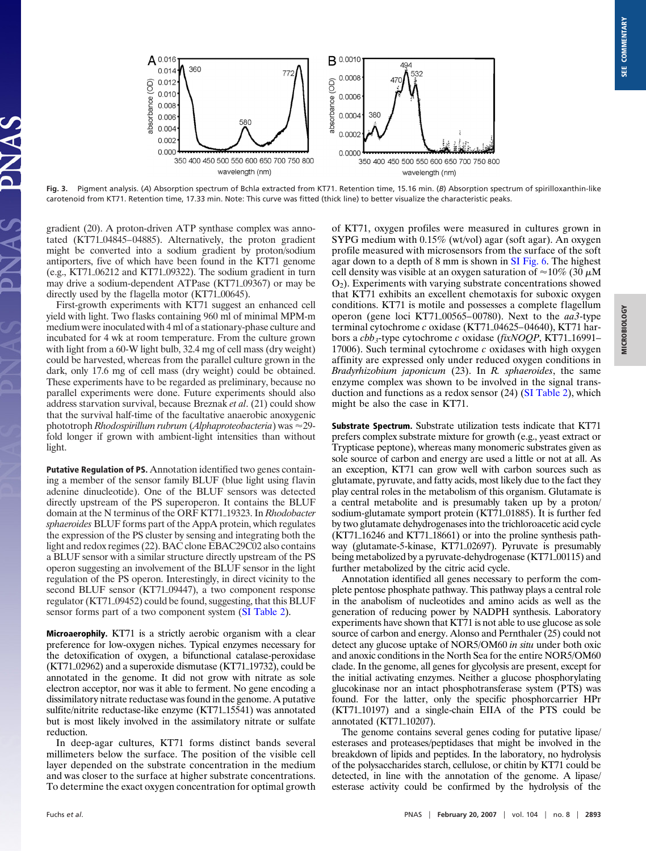

**Fig. 3.** Pigment analysis. (*A*) Absorption spectrum of Bchl*a* extracted from KT71. Retention time, 15.16 min. (*B*) Absorption spectrum of spirilloxanthin-like carotenoid from KT71. Retention time, 17.33 min. Note: This curve was fitted (thick line) to better visualize the characteristic peaks.

gradient (20). A proton-driven ATP synthase complex was annotated (KT71<sub>04845</sub>–04885). Alternatively, the proton gradient might be converted into a sodium gradient by proton/sodium antiporters, five of which have been found in the KT71 genome (e.g., KT71 $\perp$ 06212 and KT71 $\perp$ 09322). The sodium gradient in turn may drive a sodium-dependent ATPase (KT71\_09367) or may be directly used by the flagella motor  $(KTT1_00645)$ .

First-growth experiments with KT71 suggest an enhanced cell yield with light. Two flasks containing 960 ml of minimal MPM-m medium were inoculated with 4 ml of a stationary-phase culture and incubated for 4 wk at room temperature. From the culture grown with light from a 60-W light bulb, 32.4 mg of cell mass (dry weight) could be harvested, whereas from the parallel culture grown in the dark, only 17.6 mg of cell mass (dry weight) could be obtained. These experiments have to be regarded as preliminary, because no parallel experiments were done. Future experiments should also address starvation survival, because Breznak *et al*. (21) could show that the survival half-time of the facultative anaerobic anoxygenic phototroph *Rhodospirillum rubrum* (*Alphaproteobacteria*) was 29 fold longer if grown with ambient-light intensities than without light.

**Putative Regulation of PS.** Annotation identified two genes containing a member of the sensor family BLUF (blue light using flavin adenine dinucleotide). One of the BLUF sensors was detected directly upstream of the PS superoperon. It contains the BLUF domain at the N terminus of the ORF KT71<sub>-19323</sub>. In *Rhodobacter sphaeroides* BLUF forms part of the AppA protein, which regulates the expression of the PS cluster by sensing and integrating both the light and redox regimes (22). BAC clone EBAC29C02 also contains a BLUF sensor with a similar structure directly upstream of the PS operon suggesting an involvement of the BLUF sensor in the light regulation of the PS operon. Interestingly, in direct vicinity to the second BLUF sensor (KT71<sub>09447</sub>), a two component response regulator (KT71\_09452) could be found, suggesting, that this BLUF sensor forms part of a two component system [\(SI Table 2\)](http://www.pnas.org/cgi/content/full/0608046104/DC1).

**Microaerophily.** KT71 is a strictly aerobic organism with a clear preference for low-oxygen niches. Typical enzymes necessary for the detoxification of oxygen, a bifunctional catalase-peroxidase  $(KT71_02962)$  and a superoxide dismutase  $(KT71_19732)$ , could be annotated in the genome. It did not grow with nitrate as sole electron acceptor, nor was it able to ferment. No gene encoding a dissimilatory nitrate reductase was found in the genome. A putative sulfite/nitrite reductase-like enzyme (KT71\_15541) was annotated but is most likely involved in the assimilatory nitrate or sulfate reduction.

In deep-agar cultures, KT71 forms distinct bands several millimeters below the surface. The position of the visible cell layer depended on the substrate concentration in the medium and was closer to the surface at higher substrate concentrations. To determine the exact oxygen concentration for optimal growth

of KT71, oxygen profiles were measured in cultures grown in SYPG medium with 0.15% (wt/vol) agar (soft agar). An oxygen profile measured with microsensors from the surface of the soft agar down to a depth of 8 mm is shown in [SI Fig. 6.](http://www.pnas.org/cgi/content/full/0608046104/DC1) The highest cell density was visible at an oxygen saturation of  $\approx 10\%$  (30  $\mu$ M O2). Experiments with varying substrate concentrations showed that KT71 exhibits an excellent chemotaxis for suboxic oxygen conditions. KT71 is motile and possesses a complete flagellum operon (gene loci KT7100565–00780). Next to the *aa3*-type terminal cytochrome *c* oxidase (KT71<sub>04625</sub>–04640), KT71 harbors a *cbb<sub>3</sub>*-type cytochrome *c* oxidase (*fixNOQP*, KT71<sub>-16991–</sub> 17006). Such terminal cytochrome *c* oxidases with high oxygen affinity are expressed only under reduced oxygen conditions in *Bradyrhizobium japonicum* (23). In *R. sphaeroides*, the same enzyme complex was shown to be involved in the signal transduction and functions as a redox sensor (24) [\(SI Table 2\)](http://www.pnas.org/cgi/content/full/0608046104/DC1), which might be also the case in KT71.

**Substrate Spectrum.** Substrate utilization tests indicate that KT71 prefers complex substrate mixture for growth (e.g., yeast extract or Trypticase peptone), whereas many monomeric substrates given as sole source of carbon and energy are used a little or not at all. As an exception, KT71 can grow well with carbon sources such as glutamate, pyruvate, and fatty acids, most likely due to the fact they play central roles in the metabolism of this organism. Glutamate is a central metabolite and is presumably taken up by a proton/ sodium-glutamate symport protein (KT71\_01885). It is further fed by two glutamate dehydrogenases into the trichloroacetic acid cycle  $(KTT1_16246$  and  $KT71_18661$  or into the proline synthesis pathway (glutamate-5-kinase, KT71<sub>-02697</sub>). Pyruvate is presumably being metabolized by a pyruvate-dehydrogenase (KT71<sub>00115</sub>) and further metabolized by the citric acid cycle.

Annotation identified all genes necessary to perform the complete pentose phosphate pathway. This pathway plays a central role in the anabolism of nucleotides and amino acids as well as the generation of reducing power by NADPH synthesis. Laboratory experiments have shown that KT71 is not able to use glucose as sole source of carbon and energy. Alonso and Pernthaler (25) could not detect any glucose uptake of NOR5/OM60 *in situ* under both oxic and anoxic conditions in the North Sea for the entire NOR5/OM60 clade. In the genome, all genes for glycolysis are present, except for the initial activating enzymes. Neither a glucose phosphorylating glucokinase nor an intact phosphotransferase system (PTS) was found. For the latter, only the specific phosphorcarrier HPr  $(KT71_10197)$  and a single-chain EIIA of the PTS could be annotated  $(KT71_10207)$ .

The genome contains several genes coding for putative lipase/ esterases and proteases/peptidases that might be involved in the breakdown of lipids and peptides. In the laboratory, no hydrolysis of the polysaccharides starch, cellulose, or chitin by KT71 could be detected, in line with the annotation of the genome. A lipase/ esterase activity could be confirmed by the hydrolysis of the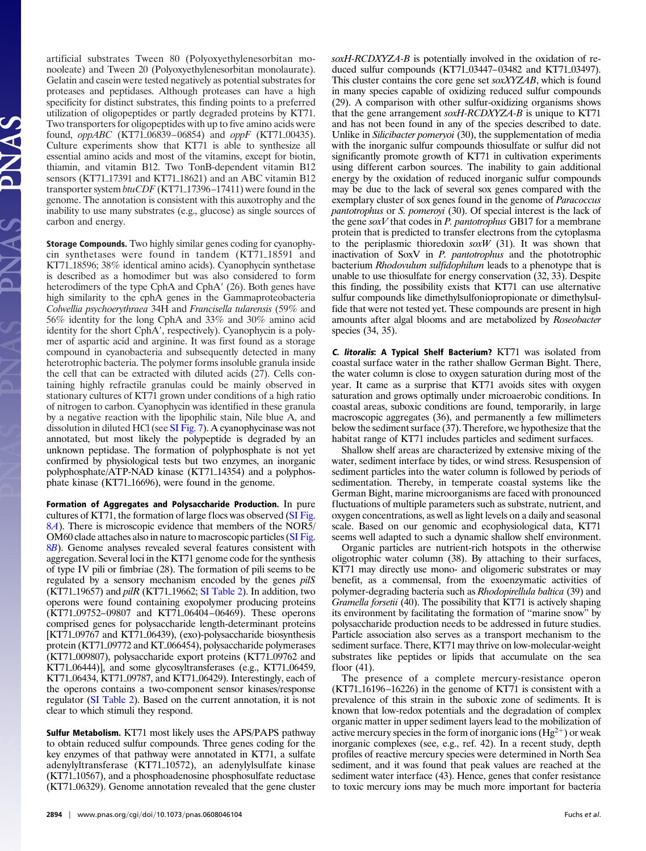artificial substrates Tween 80 (Polyoxyethylenesorbitan monooleate) and Tween 20 (Polyoxyethylenesorbitan monolaurate). Gelatin and casein were tested negatively as potential substrates for proteases and peptidases. Although proteases can have a high specificity for distinct substrates, this finding points to a preferred utilization of oligopeptides or partly degraded proteins by KT71. Two transporters for oligopeptides with up to five amino acids were found, *oppABC* (KT71<sub>-06839</sub>-06854) and *oppF* (KT71<sub>-00435</sub>). Culture experiments show that KT71 is able to synthesize all essential amino acids and most of the vitamins, except for biotin, thiamin, and vitamin B12. Two TonB-dependent vitamin B12 sensors (KT71<sub>17391</sub> and KT71<sub>18621</sub>) and an ABC vitamin B12 transporter system *btuCDF* (KT71<sub>-17396-17411) were found in the</sub> genome. The annotation is consistent with this auxotrophy and the inability to use many substrates (e.g., glucose) as single sources of carbon and energy.

**Storage Compounds.** Two highly similar genes coding for cyanophycin synthetases were found in tandem  $(KT71.18591$  and KT71<sub>-18596</sub>; 38% identical amino acids). Cyanophycin synthetase is described as a homodimer but was also considered to form heterodimers of the type CphA and CphA' (26). Both genes have high similarity to the cphA genes in the Gammaproteobacteria *Colwellia psychoerythraea* 34H and *Francisella tularensis* (59% and 56% identity for the long CphA and 33% and 30% amino acid identity for the short CphA', respectively). Cyanophycin is a polymer of aspartic acid and arginine. It was first found as a storage compound in cyanobacteria and subsequently detected in many heterotrophic bacteria. The polymer forms insoluble granula inside the cell that can be extracted with diluted acids (27). Cells containing highly refractile granulas could be mainly observed in stationary cultures of KT71 grown under conditions of a high ratio of nitrogen to carbon. Cyanophycin was identified in these granula by a negative reaction with the lipophilic stain, Nile blue A, and dissolution in diluted HCl (see [SI Fig. 7\)](http://www.pnas.org/cgi/content/full/0608046104/DC1). A cyanophycinase was not annotated, but most likely the polypeptide is degraded by an unknown peptidase. The formation of polyphosphate is not yet confirmed by physiological tests but two enzymes, an inorganic polyphosphate/ATP-NAD kinase (KT71<sub>14354</sub>) and a polyphosphate kinase (KT71<sub>16696</sub>), were found in the genome.

**Formation of Aggregates and Polysaccharide Production.** In pure cultures of KT71, the formation of large flocs was observed [\(SI Fig.](http://www.pnas.org/cgi/content/full/0608046104/DC1) 8*[A](http://www.pnas.org/cgi/content/full/0608046104/DC1)*). There is microscopic evidence that members of the NOR5/ OM60 clade attaches also in nature to macroscopic particles [\(SI Fig.](http://www.pnas.org/cgi/content/full/0608046104/DC1) 8*[B](http://www.pnas.org/cgi/content/full/0608046104/DC1)*). Genome analyses revealed several features consistent with aggregation. Several loci in the KT71 genome code for the synthesis of type IV pili or fimbriae (28). The formation of pili seems to be regulated by a sensory mechanism encoded by the genes *pilS* (KT71<sub>11</sub>9657) and *pilR* (KT71<sub>11</sub>9662; [SI Table 2\)](http://www.pnas.org/cgi/content/full/0608046104/DC1). In addition, two operons were found containing exopolymer producing proteins (KT7109752–09807 and KT7106404–06469). These operons comprised genes for polysaccharide length-determinant proteins [KT71\_09767 and KT71\_06439), (exo)-polysaccharide biosynthesis protein (KT71<sub>09772</sub> and KT<sub>066454</sub>), polysaccharide polymerases (KT71\_009807), polysaccharide export proteins (KT71\_09762 and KT71<sub>-06444</sub>)], and some glycosyltransferases (e.g., KT71<sub>-06459</sub>, KT71<sub>06434</sub>, KT71<sub>09787</sub>, and KT71<sub>06429</sub>). Interestingly, each of the operons contains a two-component sensor kinases/response regulator [\(SI Table 2\)](http://www.pnas.org/cgi/content/full/0608046104/DC1). Based on the current annotation, it is not clear to which stimuli they respond.

**Sulfur Metabolism.** KT71 most likely uses the APS/PAPS pathway to obtain reduced sulfur compounds. Three genes coding for the key enzymes of that pathway were annotated in KT71, a sulfate adenylyltransferase (KT71<sub>10572</sub>), an adenylylsulfate kinase (KT71<sub>-10567</sub>), and a phosphoadenosine phosphosulfate reductase (KT7106329). Genome annotation revealed that the gene cluster *soxH-RCDXYZA-B* is potentially involved in the oxidation of reduced sulfur compounds (KT71<sub>03447</sub>–03482 and KT71<sub>03497</sub>). This cluster contains the core gene set *soxXYZAB*, which is found in many species capable of oxidizing reduced sulfur compounds (29). A comparison with other sulfur-oxidizing organisms shows that the gene arrangement *soxH-RCDXYZA-B* is unique to KT71 and has not been found in any of the species described to date. Unlike in *Silicibacter pomeryoi* (30), the supplementation of media with the inorganic sulfur compounds thiosulfate or sulfur did not significantly promote growth of KT71 in cultivation experiments using different carbon sources. The inability to gain additional energy by the oxidation of reduced inorganic sulfur compounds may be due to the lack of several sox genes compared with the exemplary cluster of sox genes found in the genome of *Paracoccus pantotrophus* or *S. pomeroyi* (30). Of special interest is the lack of the gene *soxV* that codes in *P. pantotrophus* GB17 for a membrane protein that is predicted to transfer electrons from the cytoplasma to the periplasmic thioredoxin *soxW* (31). It was shown that inactivation of SoxV in *P. pantotrophus* and the phototrophic bacterium *Rhodovulum sulfidophilum* leads to a phenotype that is unable to use thiosulfate for energy conservation (32, 33). Despite this finding, the possibility exists that KT71 can use alternative sulfur compounds like dimethylsulfoniopropionate or dimethylsulfide that were not tested yet. These compounds are present in high amounts after algal blooms and are metabolized by *Roseobacter* species (34, 35).

**C. litoralis: A Typical Shelf Bacterium?** KT71 was isolated from coastal surface water in the rather shallow German Bight. There, the water column is close to oxygen saturation during most of the year. It came as a surprise that KT71 avoids sites with oxygen saturation and grows optimally under microaerobic conditions. In coastal areas, suboxic conditions are found, temporarily, in large macroscopic aggregates (36), and permanently a few millimeters below the sediment surface (37). Therefore, we hypothesize that the habitat range of KT71 includes particles and sediment surfaces.

Shallow shelf areas are characterized by extensive mixing of the water, sediment interface by tides, or wind stress. Resuspension of sediment particles into the water column is followed by periods of sedimentation. Thereby, in temperate coastal systems like the German Bight, marine microorganisms are faced with pronounced fluctuations of multiple parameters such as substrate, nutrient, and oxygen concentrations, as well as light levels on a daily and seasonal scale. Based on our genomic and ecophysiological data, KT71 seems well adapted to such a dynamic shallow shelf environment.

Organic particles are nutrient-rich hotspots in the otherwise oligotrophic water column (38). By attaching to their surfaces, KT71 may directly use mono- and oligomeric substrates or may benefit, as a commensal, from the exoenzymatic activities of polymer-degrading bacteria such as *Rhodopirellula baltica* (39) and *Gramella forsetii* (40). The possibility that KT71 is actively shaping its environment by facilitating the formation of ''marine snow'' by polysaccharide production needs to be addressed in future studies. Particle association also serves as a transport mechanism to the sediment surface. There, KT71 may thrive on low-molecular-weight substrates like peptides or lipids that accumulate on the sea floor (41).

The presence of a complete mercury-resistance operon  $(KT71_16196-16226)$  in the genome of KT71 is consistent with a prevalence of this strain in the suboxic zone of sediments. It is known that low-redox potentials and the degradation of complex organic matter in upper sediment layers lead to the mobilization of active mercury species in the form of inorganic ions  $(Hg^{2+})$  or weak inorganic complexes (see, e.g., ref. 42). In a recent study, depth profiles of reactive mercury species were determined in North Sea sediment, and it was found that peak values are reached at the sediment water interface (43). Hence, genes that confer resistance to toxic mercury ions may be much more important for bacteria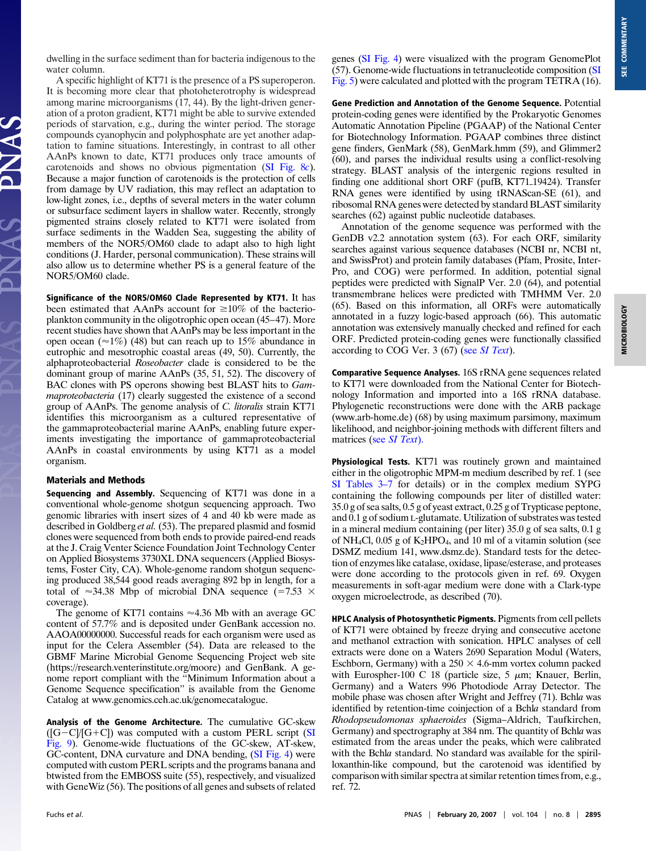dwelling in the surface sediment than for bacteria indigenous to the water column.

A specific highlight of KT71 is the presence of a PS superoperon. It is becoming more clear that photoheterotrophy is widespread among marine microorganisms (17, 44). By the light-driven generation of a proton gradient, KT71 might be able to survive extended periods of starvation, e.g., during the winter period. The storage compounds cyanophycin and polyphosphate are yet another adaptation to famine situations. Interestingly, in contrast to all other AAnPs known to date, KT71 produces only trace amounts of carotenoids and shows no obvious pigmentation [\(SI Fig. 8](http://www.pnas.org/cgi/content/full/0608046104/DC1)*c*). Because a major function of carotenoids is the protection of cells from damage by UV radiation, this may reflect an adaptation to low-light zones, i.e., depths of several meters in the water column or subsurface sediment layers in shallow water. Recently, strongly pigmented strains closely related to KT71 were isolated from surface sediments in the Wadden Sea, suggesting the ability of members of the NOR5/OM60 clade to adapt also to high light conditions (J. Harder, personal communication). These strains will also allow us to determine whether PS is a general feature of the NOR5/OM60 clade.

**Significance of the NOR5/OM60 Clade Represented by KT71.** It has been estimated that AAnPs account for  $\geq 10\%$  of the bacterioplankton community in the oligotrophic open ocean (45–47). More recent studies have shown that AAnPs may be less important in the open ocean ( $\approx$ 1%) (48) but can reach up to 15% abundance in eutrophic and mesotrophic coastal areas (49, 50). Currently, the alphaproteobacterial *Roseobacter* clade is considered to be the dominant group of marine AAnPs (35, 51, 52). The discovery of BAC clones with PS operons showing best BLAST hits to *Gammaproteobacteria* (17) clearly suggested the existence of a second group of AAnPs. The genome analysis of *C. litoralis* strain KT71 identifies this microorganism as a cultured representative of the gammaproteobacterial marine AAnPs, enabling future experiments investigating the importance of gammaproteobacterial AAnPs in coastal environments by using KT71 as a model organism.

## **Materials and Methods**

**Sequencing and Assembly.** Sequencing of KT71 was done in a conventional whole-genome shotgun sequencing approach. Two genomic libraries with insert sizes of 4 and 40 kb were made as described in Goldberg *et al.* (53). The prepared plasmid and fosmid clones were sequenced from both ends to provide paired-end reads at the J. Craig Venter Science Foundation Joint Technology Center on Applied Biosystems 3730XL DNA sequencers (Applied Biosystems, Foster City, CA). Whole-genome random shotgun sequencing produced 38,544 good reads averaging 892 bp in length, for a total of  $\approx$ 34.38 Mbp of microbial DNA sequence (=7.53  $\times$ coverage).

The genome of KT71 contains  $\approx 4.36$  Mb with an average GC content of 57.7% and is deposited under GenBank accession no. AAOA00000000. Successful reads for each organism were used as input for the Celera Assembler (54). Data are released to the GBMF Marine Microbial Genome Sequencing Project web site (https://research.venterinstitute.org/moore) and GenBank. A genome report compliant with the ''Minimum Information about a Genome Sequence specification'' is available from the Genome Catalog at www.genomics.ceh.ac.uk/genomecatalogue.

**Analysis of the Genome Architecture.** The cumulative GC-skew  $([G-C]/[G+C])$  was computed with a custom PERL script [\(SI](http://www.pnas.org/cgi/content/full/0608046104/DC1) [Fig. 9\)](http://www.pnas.org/cgi/content/full/0608046104/DC1). Genome-wide fluctuations of the GC-skew, AT-skew, GC-content, DNA curvature and DNA bending, [\(SI Fig. 4\)](http://www.pnas.org/cgi/content/full/0608046104/DC1) were computed with custom PERL scripts and the programs banana and btwisted from the EMBOSS suite (55), respectively, and visualized with GeneWiz (56). The positions of all genes and subsets of related genes [\(SI Fig. 4\)](http://www.pnas.org/cgi/content/full/0608046104/DC1) were visualized with the program GenomePlot (57). Genome-wide fluctuations in tetranucleotide composition [\(SI](http://www.pnas.org/cgi/content/full/0608046104/DC1) [Fig. 5\)](http://www.pnas.org/cgi/content/full/0608046104/DC1) were calculated and plotted with the program TETRA (16).

**Gene Prediction and Annotation of the Genome Sequence.** Potential protein-coding genes were identified by the Prokaryotic Genomes Automatic Annotation Pipeline (PGAAP) of the National Center for Biotechnology Information. PGAAP combines three distinct gene finders, GenMark (58), GenMark.hmm (59), and Glimmer2 (60), and parses the individual results using a conflict-resolving strategy. BLAST analysis of the intergenic regions resulted in finding one additional short ORF (pufB, KT71<sub>19424</sub>). Transfer RNA genes were identified by using tRNAScan-SE (61), and ribosomal RNA genes were detected by standard BLAST similarity searches (62) against public nucleotide databases.

Annotation of the genome sequence was performed with the GenDB v2.2 annotation system (63). For each ORF, similarity searches against various sequence databases (NCBI nr, NCBI nt, and SwissProt) and protein family databases (Pfam, Prosite, Inter-Pro, and COG) were performed. In addition, potential signal peptides were predicted with SignalP Ver. 2.0 (64), and potential transmembrane helices were predicted with TMHMM Ver. 2.0 (65). Based on this information, all ORFs were automatically annotated in a fuzzy logic-based approach (66). This automatic annotation was extensively manually checked and refined for each ORF. Predicted protein-coding genes were functionally classified according to COG Ver. 3 (67) (see *[SI Text](http://www.pnas.org/cgi/content/full/0608046104/DC1)*).

**Comparative Sequence Analyses.** 16S rRNA gene sequences related to KT71 were downloaded from the National Center for Biotechnology Information and imported into a 16S rRNA database. Phylogenetic reconstructions were done with the ARB package (www.arb-home.de) (68) by using maximum parsimony, maximum likelihood, and neighbor-joining methods with different filters and matrices (see *[SI Text](http://www.pnas.org/cgi/content/full/0608046104/DC1)*).

**Physiological Tests.** KT71 was routinely grown and maintained either in the oligotrophic MPM-m medium described by ref. 1 (see [SI Tables 3–7](http://www.pnas.org/cgi/content/full/0608046104/DC1) for details) or in the complex medium SYPG containing the following compounds per liter of distilled water: 35.0 g of sea salts, 0.5 g of yeast extract, 0.25 g of Trypticase peptone, and 0.1 g of sodium L-glutamate. Utilization of substrates was tested in a mineral medium containing (per liter) 35.0 g of sea salts, 0.1 g of NH4Cl, 0.05 g of K2HPO4, and 10 ml of a vitamin solution (see DSMZ medium 141, www.dsmz.de). Standard tests for the detection of enzymes like catalase, oxidase, lipase/esterase, and proteases were done according to the protocols given in ref. 69. Oxygen measurements in soft-agar medium were done with a Clark-type oxygen microelectrode, as described (70).

**HPLC Analysis of Photosynthetic Pigments.** Pigments from cell pellets of KT71 were obtained by freeze drying and consecutive acetone and methanol extraction with sonication. HPLC analyses of cell extracts were done on a Waters 2690 Separation Modul (Waters, Eschborn, Germany) with a  $250 \times 4.6$ -mm vortex column packed with Eurospher-100 C 18 (particle size, 5  $\mu$ m; Knauer, Berlin, Germany) and a Waters 996 Photodiode Array Detector. The mobile phase was chosen after Wright and Jeffrey (71). Bchl*a* was identified by retention-time coinjection of a Bchl*a* standard from *Rhodopseudomonas sphaeroides* (Sigma–Aldrich, Taufkirchen, Germany) and spectrography at 384 nm. The quantity of Bchl*a* was estimated from the areas under the peaks, which were calibrated with the Bchla standard. No standard was available for the spirilloxanthin-like compound, but the carotenoid was identified by comparison with similar spectra at similar retention times from, e.g., ref. 72.